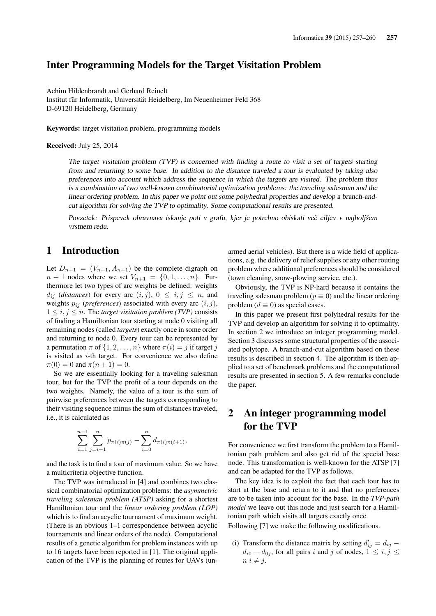## Inter Programming Models for the Target Visitation Problem

Achim Hildenbrandt and Gerhard Reinelt Institut für Informatik, Universität Heidelberg, Im Neuenheimer Feld 368 D-69120 Heidelberg, Germany

Keywords: target visitation problem, programming models

#### Received: July 25, 2014

The target visitation problem (TVP) is concerned with finding a route to visit a set of targets starting from and returning to some base. In addition to the distance traveled a tour is evaluated by taking also preferences into account which address the sequence in which the targets are visited. The problem thus is a combination of two well-known combinatorial optimization problems: the traveling salesman and the linear ordering problem. In this paper we point out some polyhedral properties and develop a branch-andcut algorithm for solving the TVP to optimality. Some computational results are presented.

Povzetek: Prispevek obravnava iskanje poti v grafu, kjer je potrebno obiskati več ciljev v najboljšem vrstnem redu.

## 1 Introduction

Let  $D_{n+1} = (V_{n+1}, A_{n+1})$  be the complete digraph on  $n + 1$  nodes where we set  $V_{n+1} = \{0, 1, ..., n\}$ . Furthermore let two types of arc weights be defined: weights  $d_{ij}$  (*distances*) for every arc  $(i, j)$ ,  $0 \le i, j \le n$ , and weights  $p_{ij}$  (*preferences*) associated with every arc  $(i, j)$ ,  $1 \leq i, j \leq n$ . The *target visitation problem (TVP)* consists of finding a Hamiltonian tour starting at node 0 visiting all remaining nodes (called *targets*) exactly once in some order and returning to node 0. Every tour can be represented by a permutation  $\pi$  of  $\{1, 2, ..., n\}$  where  $\pi(i) = j$  if target j is visited as  $i$ -th target. For convenience we also define  $\pi(0) = 0$  and  $\pi(n + 1) = 0$ .

So we are essentially looking for a traveling salesman tour, but for the TVP the profit of a tour depends on the two weights. Namely, the value of a tour is the sum of pairwise preferences between the targets corresponding to their visiting sequence minus the sum of distances traveled, i.e., it is calculated as

$$
\sum_{i=1}^{n-1} \sum_{j=i+1}^{n} p_{\pi(i)\pi(j)} - \sum_{i=0}^{n} d_{\pi(i)\pi(i+1)},
$$

and the task is to find a tour of maximum value. So we have a multicriteria objective function.

The TVP was introduced in [4] and combines two classical combinatorial optimization problems: the *asymmetric traveling salesman problem (ATSP)* asking for a shortest Hamiltonian tour and the *linear ordering problem (LOP)* which is to find an acyclic tournament of maximum weight. (There is an obvious 1–1 correspondence between acyclic tournaments and linear orders of the node). Computational results of a genetic algorithm for problem instances with up to 16 targets have been reported in [1]. The original application of the TVP is the planning of routes for UAVs (unarmed aerial vehicles). But there is a wide field of applications, e.g. the delivery of relief supplies or any other routing problem where additional preferences should be considered (town cleaning, snow-plowing service, etc.).

Obviously, the TVP is NP-hard because it contains the traveling salesman problem ( $p \equiv 0$ ) and the linear ordering problem  $(d \equiv 0)$  as special cases.

In this paper we present first polyhedral results for the TVP and develop an algorithm for solving it to optimality. In section 2 we introduce an integer programming model. Section 3 discusses some structural properties of the associated polytope. A branch-and-cut algorithm based on these results is described in section 4. The algorithm is then applied to a set of benchmark problems and the computational results are presented in section 5. A few remarks conclude the paper.

# 2 An integer programming model for the TVP

For convenience we first transform the problem to a Hamiltonian path problem and also get rid of the special base node. This transformation is well-known for the ATSP [7] and can be adapted for the TVP as follows.

The key idea is to exploit the fact that each tour has to start at the base and return to it and that no preferences are to be taken into account for the base. In the *TVP-path model* we leave out this node and just search for a Hamiltonian path which visits all targets exactly once.

Following [7] we make the following modifications.

(i) Transform the distance matrix by setting  $d'_{ij} = d_{ij}$  –  $d_{i0} - d_{0j}$ , for all pairs i and j of nodes,  $1 \leq i, j \leq j$  $n \; i \neq j.$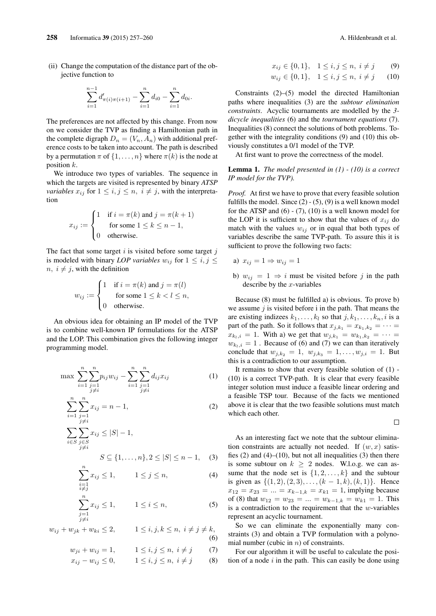(ii) Change the computation of the distance part of the objective function to

$$
\sum_{i=1}^{n-1} d'_{\pi(i)\pi(i+1)} - \sum_{i=1}^{n} d_{i0} - \sum_{i=1}^{n} d_{0i}.
$$

The preferences are not affected by this change. From now on we consider the TVP as finding a Hamiltonian path in the complete digraph  $D_n = (V_n, A_n)$  with additional preference costs to be taken into account. The path is described by a permutation  $\pi$  of  $\{1, \ldots, n\}$  where  $\pi(k)$  is the node at position k.

We introduce two types of variables. The sequence in which the targets are visited is represented by binary *ATSP variables*  $x_{ij}$  for  $1 \le i, j \le n, i \ne j$ , with the interpretation

$$
x_{ij} := \begin{cases} 1 & \text{if } i = \pi(k) \text{ and } j = \pi(k+1) \\ & \text{for some } 1 \le k \le n-1, \\ 0 & \text{otherwise.} \end{cases}
$$

The fact that some target  $i$  is visited before some target  $j$ is modeled with binary *LOP variables*  $w_{ij}$  for  $1 \leq i, j \leq j$  $n, i \neq j$ , with the definition

$$
w_{ij} := \begin{cases} 1 & \text{if } i = \pi(k) \text{ and } j = \pi(l) \\ & \text{for some } 1 \le k < l \le n, \\ 0 & \text{otherwise.} \end{cases}
$$

An obvious idea for obtaining an IP model of the TVP is to combine well-known IP formulations for the ATSP and the LOP. This combination gives the following integer programming model.

$$
\max \sum_{i=1}^{n} \sum_{\substack{j=1 \ j \neq i}}^{n} p_{ij} w_{ij} - \sum_{i=1}^{n} \sum_{\substack{j=1 \ j \neq i}}^{n} d_{ij} x_{ij}
$$
 (1)

$$
\sum_{i=1}^{n} \sum_{\substack{j=1 \ j \neq i}}^{n} x_{ij} = n - 1,\tag{2}
$$

$$
\sum_{i \in S} \sum_{\substack{j \in S \\ j \neq i}} x_{ij} \leq |S| - 1,
$$
  

$$
S \subseteq \{1, ..., n\}, 2 \leq |S| \leq n - 1,
$$
 (3)

$$
\sum_{\substack{i=1 \ i \neq j}}^{n} x_{ij} \le 1, \qquad 1 \le j \le n,
$$
\n(4)

$$
\sum_{\substack{j=1 \ j \neq i}}^{n} x_{ij} \le 1, \qquad 1 \le i \le n,
$$
\n(5)

 $w_{ij} + w_{jk} + w_{ki} \leq 2, \qquad 1 \leq i, j, k \leq n, i \neq j \neq k,$  $(6)$ 

$$
w_{ji} + w_{ij} = 1,
$$
  $1 \le i, j \le n, i \ne j$  (7)

$$
x_{ij} - w_{ij} \le 0,
$$
  $1 \le i, j \le n, i \ne j$  (8)

$$
x_{ij} \in \{0, 1\}, \quad 1 \le i, j \le n, \ i \ne j \tag{9}
$$

$$
w_{ij} \in \{0, 1\}, \quad 1 \le i, j \le n, \ i \ne j \qquad (10)
$$

Constraints (2)–(5) model the directed Hamiltonian paths where inequalities (3) are the *subtour elimination constraints*. Acyclic tournaments are modelled by the *3 dicycle inequalities* (6) and the *tournament equations* (7). Inequalities (8) connect the solutions of both problems. Together with the integrality conditions (9) and (10) this obviously constitutes a 0/1 model of the TVP.

At first want to prove the correctness of the model.

Lemma 1. *The model presented in (1) - (10) is a correct IP model for the TVP).*

*Proof.* At first we have to prove that every feasible solution fulfills the model. Since  $(2) - (5)$ ,  $(9)$  is a well known model for the ATSP and  $(6)$  -  $(7)$ ,  $(10)$  is a well known model for the LOP it is sufficient to show that the values of  $x_{ij}$  do match with the values  $w_{ij}$  or in equal that both types of variables describe the same TVP-path. To assure this it is sufficient to prove the following two facts:

a) 
$$
x_{ij} = 1 \Rightarrow w_{ij} = 1
$$

b)  $w_{ij} = 1 \Rightarrow i$  must be visited before j in the path describe by the  $x$ -variables

Because (8) must be fulfilled a) is obvious. To prove b) we assume  $j$  is visited before i in the path. That means the are existing indizees  $k_1, \ldots, k_l$  so that  $j, k_1, \ldots, k_n, i$  is a part of the path. So it follows that  $x_{j,k_1} = x_{k_1,k_2} = \cdots =$  $x_{k_1,i} = 1$ . With a) we get that  $w_{j,k_1} = w_{k_1,k_2} = \cdots$  $w_{k_l,i} = 1$ . Because of (6) and (7) we can than iteratively conclude that  $w_{j,k_2} = 1$ ,  $w_{j,k_3} = 1, \ldots, w_{j,i} = 1$ . But this is a contradiction to our assumption.

It remains to show that every feasible solution of (1) - (10) is a correct TVP-path. It is clear that every feasible integer solution must induce a feasible linear ordering and a feasible TSP tour. Because of the facts we mentioned above it is clear that the two feasible solutions must match which each other.

 $\Box$ 

As an interesting fact we note that the subtour elimination constraints are actually not needed. If  $(w, x)$  satisfies  $(2)$  and  $(4)$ – $(10)$ , but not all inequalities  $(3)$  then there is some subtour on  $k \geq 2$  nodes. W.l.o.g. we can assume that the node set is  $\{1, 2, \ldots, k\}$  and the subtour is given as  $\{(1, 2), (2, 3), \ldots, (k-1, k), (k, 1)\}.$  Hence  $x_{12} = x_{23} = ... = x_{k-1,k} = x_{k1} = 1$ , implying because of (8) that  $w_{12} = w_{23} = ... = w_{k-1,k} = w_{k1} = 1$ . This is a contradiction to the requirement that the  $w$ -variables represent an acyclic tournament.

So we can eliminate the exponentially many constraints (3) and obtain a TVP formulation with a polynomial number (cubic in  $n$ ) of constraints.

For our algorithm it will be useful to calculate the position of a node  $i$  in the path. This can easily be done using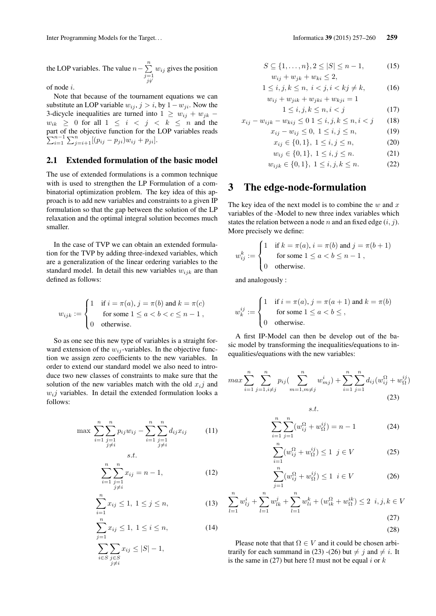the LOP variables. The value  $n - \sum_{n=1}^{n}$  $j=1$ <br> $j\dot{j}$  $w_{ij}$  gives the position

of node i.

Note that because of the tournament equations we can substitute an LOP variable  $w_{ij}$ ,  $j > i$ , by  $1 - w_{ji}$ . Now the 3-dicycle inequalities are turned into  $1 \geq w_{ij} + w_{jk}$  –  $w_{ik} \geq 0$  for all  $1 \leq i \leq j \leq k \leq n$  and the part of the objective function for the LOP variables reads  $\sum_{i=1}^{n-1} \sum_{j=i+1}^{n} [(p_{ij} - p_{ji})w_{ij} + p_{ji}].$ 

#### 2.1 Extended formulation of the basic model

The use of extended formulations is a common technique with is used to strengthen the LP Formulation of a combinatorial optimization problem. The key idea of this approach is to add new variables and constraints to a given IP formulation so that the gap between the solution of the LP relaxation and the optimal integral solution becomes much smaller.

In the case of TVP we can obtain an extended formulation for the TVP by adding three-indexed variables, which are a generalization of the linear ordering variables to the standard model. In detail this new variables  $w_{ijk}$  are than defined as follows:

$$
w_{ijk} := \begin{cases} 1 & \text{if } i = \pi(a), j = \pi(b) \text{ and } k = \pi(c) \\ & \text{for some } 1 \le a < b < c \le n - 1, \\ 0 & \text{otherwise.} \end{cases}
$$

So as one see this new type of variables is a straight forward extension of the  $w_{ij}$ -variables. In the objective function we assign zero coefficients to the new variables. In order to extend our standard model we also need to introduce two new classes of constraints to make sure that the solution of the new variables match with the old  $x_i$  and  $w_i$  variables. In detail the extended formulation looks a follows:

s.t.

$$
\max \sum_{i=1}^{n} \sum_{\substack{j=1 \ j \neq i}}^{n} p_{ij} w_{ij} - \sum_{i=1}^{n} \sum_{\substack{j=1 \ j \neq i}}^{n} d_{ij} x_{ij}
$$
 (11)

$$
\sum_{i=1}^{n} \sum_{\substack{j=1 \ j \neq i}}^{n} x_{ij} = n - 1,\tag{12}
$$

$$
\sum_{i=1}^{n} x_{ij} \le 1, \ 1 \le j \le n,\tag{13}
$$

$$
\sum_{j=1}^{n} x_{ij} \le 1, \ 1 \le i \le n,
$$
\n
$$
\sum_{i \in S} \sum_{\substack{j \in S \\ j \ne i}} x_{ij} \le |S| - 1,
$$
\n(14)

$$
S \subseteq \{1, ..., n\}, 2 \le |S| \le n - 1,
$$
  
\n
$$
w_{ij} + w_{jk} + w_{ki} \le 2,
$$
\n(15)

$$
1 \le i, j, k \le n, \ i < j, i < kj \ne k, \tag{16}
$$
\n
$$
w_{ij} + w_{jik} + w_{jki} + w_{kji} = 1
$$

$$
1 \le i, j, k \le n, i < j \tag{17}
$$

$$
x_{ij} - w_{ijk} - w_{kij} \le 0 \ 1 \le i, j, k \le n, i < j \qquad (18)
$$

$$
x_{ij} - w_{ij} \le 0, \ 1 \le i, j \le n,
$$
 (19)

$$
x_{ij} \in \{0, 1\}, \ 1 \le i, j \le n,\tag{20}
$$

$$
w_{ij} \in \{0, 1\}, \ 1 \le i, j \le n. \tag{21}
$$

$$
w_{ijk} \in \{0, 1\}, \ 1 \le i, j, k \le n. \tag{22}
$$

## 3 The edge-node-formulation

The key idea of the next model is to combine the  $w$  and  $x$ variables of the -Model to new three index variables which states the relation between a node n and an fixed edge  $(i, j)$ . More precisely we define:

$$
w_{ij}^k := \begin{cases} 1 & \text{if } k = \pi(a), i = \pi(b) \text{ and } j = \pi(b+1) \\ \text{for some } 1 \le a < b \le n-1 \\ 0 & \text{otherwise.} \end{cases}
$$

and analogously :

$$
w_k^{ij} := \begin{cases} 1 & \text{if } i = \pi(a), j = \pi(a+1) \text{ and } k = \pi(b) \\ & \text{for some } 1 \le a < b \le , \\ 0 & \text{otherwise.} \end{cases}
$$

A first IP-Model can then be develop out of the basic model by transforming the inequalities/equations to inequalities/equations with the new variables:

$$
max \sum_{i=1}^{n} \sum_{j=1, i \neq j}^{n} p_{ij} \left( \sum_{m=1, m \neq j}^{n} w_{mj}^{i} \right) + \sum_{i=1}^{n} \sum_{j=1}^{n} d_{ij} \left( w_{ij}^{\Omega} + w_{\Omega}^{ij} \right)
$$
\n
$$
s.t. \tag{23}
$$

$$
\sum_{i=1}^{n} \sum_{j=1}^{n} (w_{ij}^{\Omega} + w_{\Omega}^{ij}) = n - 1
$$
 (24)

$$
\sum_{i=1}^{n} (w_{ij}^{\Omega} + w_{\Omega}^{ij}) \le 1 \quad j \in V \tag{25}
$$

$$
\sum_{j=1}^{n} (w_{ij}^{\Omega} + w_{\Omega}^{ij}) \le 1 \quad i \in V \tag{26}
$$

$$
\sum_{l=1}^{n} w_{lj}^{i} + \sum_{l=1}^{n} w_{lk}^{j} + \sum_{l=1}^{n} w_{li}^{k} + (w_{ik}^{\Omega} + w_{\Omega}^{ik}) \le 2 \quad i, j, k \in V
$$
\n(27)

$$
(28)
$$

Please note that that  $\Omega \in V$  and it could be chosen arbitrarily for each summand in (23) -(26) but  $\neq$  *j* and  $\neq$  *i*. It is the same in (27) but here  $\Omega$  must not be equal i or k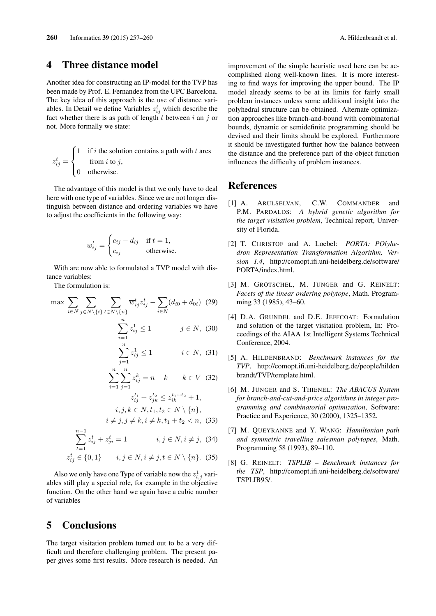#### 4 Three distance model

Another idea for constructing an IP-model for the TVP has been made by Prof. E. Fernandez from the UPC Barcelona. The key idea of this approach is the use of distance variables. In Detail we define Variables  $z_{ij}^t$  which describe the fact whether there is as path of length  $t$  between  $i$  an  $j$  or not. More formally we state:

$$
z_{ij}^t = \begin{cases} 1 & \text{if } i \text{ the solution contains a path with } t \text{ arcs} \\ & \text{from } i \text{ to } j, \\ 0 & \text{otherwise.} \end{cases}
$$

The advantage of this model is that we only have to deal here with one type of variables. Since we are not longer distinguish between distance and ordering variables we have to adjust the coefficients in the following way:

$$
w_{ij}^t = \begin{cases} c_{ij} - d_{ij} & \text{if } t = 1, \\ c_{ij} & \text{otherwise.} \end{cases}
$$

With are now able to formulated a TVP model with distance variables:

The formulation is:

$$
\max \sum_{i \in N} \sum_{j \in N \setminus \{i\}} \sum_{t \in N \setminus \{n\}} \overline{w}_{ij}^t z_{ij}^t - \sum_{i \in N} (d_{i0} + d_{0i}) \tag{29}
$$
\n
$$
\sum_{i=1}^n z_{ij}^1 \le 1 \qquad j \in N, \tag{30}
$$
\n
$$
\sum_{j=1}^n z_{ij}^1 \le 1 \qquad i \in N, \tag{31}
$$

$$
\sum_{i=1}^{n} \sum_{j=1}^{n} z_{ij}^{k} = n - k \qquad k \in V \quad (32)
$$

$$
z_{ij}^{t_1} + z_{jk}^{t_2} \le z_{ik}^{t_1 + t_2} + 1,
$$

$$
i, j, k \in N, t_1, t_2 \in N \setminus \{n\},\
$$

$$
i \neq j, j \neq k, i \neq k, t_1 + t_2 < n, \tag{33}
$$

$$
\sum_{t=1}^{n-1} z_{ij}^t + z_{ji}^t = 1 \qquad i, j \in N, i \neq j, \tag{34}
$$

$$
z_{ij}^t \in \{0, 1\} \qquad i, j \in N, i \neq j, t \in N \setminus \{n\}. \tag{35}
$$

Also we only have one Type of variable now the  $z_{i,j}^1$  variables still play a special role, for example in the objective function. On the other hand we again have a cubic number of variables

## 5 Conclusions

The target visitation problem turned out to be a very difficult and therefore challenging problem. The present paper gives some first results. More research is needed. An improvement of the simple heuristic used here can be accomplished along well-known lines. It is more interesting to find ways for improving the upper bound. The IP model already seems to be at its limits for fairly small problem instances unless some additional insight into the polyhedral structure can be obtained. Alternate optimization approaches like branch-and-bound with combinatorial bounds, dynamic or semidefinite programming should be devised and their limits should be explored. Furthermore it should be investigated further how the balance between the distance and the preference part of the object function influences the difficulty of problem instances.

### References

- [1] A. ARULSELVAN, C.W. COMMANDER and P.M. PARDALOS: *A hybrid genetic algorithm for the target visitation problem*, Technical report, University of Florida.
- [2] T. CHRISTOF and A. Loebel: *PORTA: POlyhedron Representation Transformation Algorithm, Version 1.4*, http://comopt.ifi.uni-heidelberg.de/software/ PORTA/index.html.
- [3] M. GRÖTSCHEL, M. JÜNGER and G. REINELT: *Facets of the linear ordering polytope*, Math. Programming 33 (1985), 43–60.
- [4] D.A. GRUNDEL and D.E. JEFFCOAT: Formulation and solution of the target visitation problem, In: Proceedings of the AIAA 1st Intelligent Systems Technical Conference, 2004.
- [5] A. HILDENBRAND: *Benchmark instances for the TVP*, http://comopt.ifi.uni-heidelberg.de/people/hilden brandt/TVP/template.html.
- [6] M. JÜNGER and S. THIENEL: *The ABACUS System for branch-and-cut-and-price algorithms in integer programming and combinatorial optimization*, Software: Practice and Experience, 30 (2000), 1325–1352.
- [7] M. QUEYRANNE and Y. WANG: *Hamiltonian path and symmetric travelling salesman polytopes*, Math. Programming 58 (1993), 89–110.
- [8] G. REINELT: *TSPLIB Benchmark instances for the TSP*, http://comopt.ifi.uni-heidelberg.de/software/ TSPLIB95/.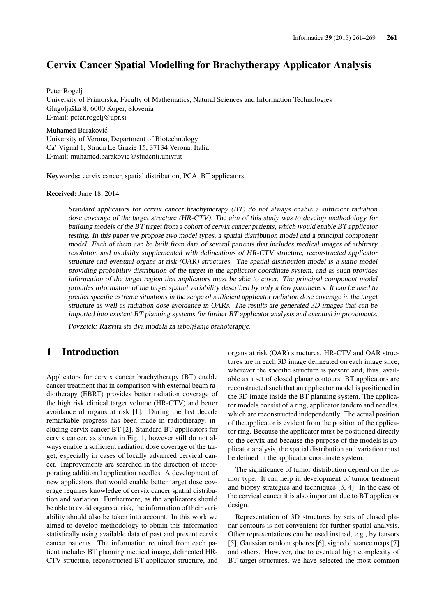## Cervix Cancer Spatial Modelling for Brachytherapy Applicator Analysis

Peter Rogelj University of Primorska, Faculty of Mathematics, Natural Sciences and Information Technologies Glagoljaška 8, 6000 Koper, Slovenia E-mail: peter.rogelj@upr.si

Muhamed Barakovic´ University of Verona, Department of Biotechnology Ca' Vignal 1, Strada Le Grazie 15, 37134 Verona, Italia E-mail: muhamed.barakovic@studenti.univr.it

Keywords: cervix cancer, spatial distribution, PCA, BT applicators

#### Received: June 18, 2014

Standard applicators for cervix cancer brachytherapy (BT) do not always enable a sufficient radiation dose coverage of the target structure (HR-CTV). The aim of this study was to develop methodology for building models of the BT target from a cohort of cervix cancer patients, which would enable BT applicator testing. In this paper we propose two model types, a spatial distribution model and a principal component model. Each of them can be built from data of several patients that includes medical images of arbitrary resolution and modality supplemented with delineations of HR-CTV structure, reconstructed applicator structure and eventual organs at risk (OAR) structures. The spatial distribution model is a static model providing probability distribution of the target in the applicator coordinate system, and as such provides information of the target region that applicators must be able to cover. The principal component model provides information of the target spatial variability described by only a few parameters. It can be used to predict specific extreme situations in the scope of sufficient applicator radiation dose coverage in the target structure as well as radiation dose avoidance in OARs. The results are generated 3D images that can be imported into existent BT planning systems for further BT applicator analysis and eventual improvements.

Povzetek: Razvita sta dva modela za izboljšanje brahoterapije.

## 1 Introduction

Applicators for cervix cancer brachytherapy (BT) enable cancer treatment that in comparison with external beam radiotherapy (EBRT) provides better radiation coverage of the high risk clinical target volume (HR-CTV) and better avoidance of organs at risk [1]. During the last decade remarkable progress has been made in radiotherapy, including cervix cancer BT [2]. Standard BT applicators for cervix cancer, as shown in Fig. 1, however still do not always enable a sufficient radiation dose coverage of the target, especially in cases of locally advanced cervical cancer. Improvements are searched in the direction of incorporating additional application needles. A development of new applicators that would enable better target dose coverage requires knowledge of cervix cancer spatial distribution and variation. Furthermore, as the applicators should be able to avoid organs at risk, the information of their variability should also be taken into account. In this work we aimed to develop methodology to obtain this information statistically using available data of past and present cervix cancer patients. The information required from each patient includes BT planning medical image, delineated HR-CTV structure, reconstructed BT applicator structure, and organs at risk (OAR) structures. HR-CTV and OAR structures are in each 3D image delineated on each image slice, wherever the specific structure is present and, thus, available as a set of closed planar contours. BT applicators are reconstructed such that an applicator model is positioned in the 3D image inside the BT planning system. The applicator models consist of a ring, applicator tandem and needles, which are reconstructed independently. The actual position of the applicator is evident from the position of the applicator ring. Because the applicator must be positioned directly to the cervix and because the purpose of the models is applicator analysis, the spatial distribution and variation must be defined in the applicator coordinate system.

The significance of tumor distribution depend on the tumor type. It can help in development of tumor treatment and biopsy strategies and techniques [3, 4]. In the case of the cervical cancer it is also important due to BT applicator design.

Representation of 3D structures by sets of closed planar contours is not convenient for further spatial analysis. Other representations can be used instead, e.g., by tensors [5], Gaussian random spheres [6], signed distance maps [7] and others. However, due to eventual high complexity of BT target structures, we have selected the most common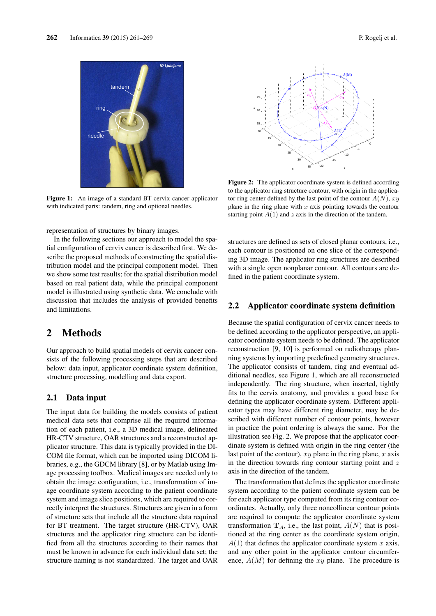

Figure 1: An image of a standard BT cervix cancer applicator with indicated parts: tandem, ring and optional needles.

representation of structures by binary images.

In the following sections our approach to model the spatial configuration of cervix cancer is described first. We describe the proposed methods of constructing the spatial distribution model and the principal component model. Then we show some test results; for the spatial distribution model based on real patient data, while the principal component model is illustrated using synthetic data. We conclude with discussion that includes the analysis of provided benefits and limitations.

## 2 Methods

Our approach to build spatial models of cervix cancer consists of the following processing steps that are described below: data input, applicator coordinate system definition, structure processing, modelling and data export.

#### 2.1 Data input

The input data for building the models consists of patient medical data sets that comprise all the required information of each patient, i.e., a 3D medical image, delineated HR-CTV structure, OAR structures and a reconstructed applicator structure. This data is typically provided in the DI-COM file format, which can be imported using DICOM libraries, e.g., the GDCM library [8], or by Matlab using Image processing toolbox. Medical images are needed only to obtain the image configuration, i.e., transformation of image coordinate system according to the patient coordinate system and image slice positions, which are required to correctly interpret the structures. Structures are given in a form of structure sets that include all the structure data required for BT treatment. The target structure (HR-CTV), OAR structures and the applicator ring structure can be identified from all the structures according to their names that must be known in advance for each individual data set; the structure naming is not standardized. The target and OAR



Figure 2: The applicator coordinate system is defined according to the applicator ring structure contour, with origin in the applicator ring center defined by the last point of the contour  $A(N)$ , xy plane in the ring plane with  $x$  axis pointing towards the contour starting point  $A(1)$  and z axis in the direction of the tandem.

structures are defined as sets of closed planar contours, i.e., each contour is positioned on one slice of the corresponding 3D image. The applicator ring structures are described with a single open nonplanar contour. All contours are defined in the patient coordinate system.

#### 2.2 Applicator coordinate system definition

Because the spatial configuration of cervix cancer needs to be defined according to the applicator perspective, an applicator coordinate system needs to be defined. The applicator reconstruction [9, 10] is performed on radiotherapy planning systems by importing predefined geometry structures. The applicator consists of tandem, ring and eventual additional needles, see Figure 1, which are all reconstructed independently. The ring structure, when inserted, tightly fits to the cervix anatomy, and provides a good base for defining the applicator coordinate system. Different applicator types may have different ring diameter, may be described with different number of contour points, however in practice the point ordering is always the same. For the illustration see Fig. 2. We propose that the applicator coordinate system is defined with origin in the ring center (the last point of the contour),  $xy$  plane in the ring plane,  $x$  axis in the direction towards ring contour starting point and  $z$ axis in the direction of the tandem.

The transformation that defines the applicator coordinate system according to the patient coordinate system can be for each applicator type computed from its ring contour coordinates. Actually, only three noncollinear contour points are required to compute the applicator coordinate system transformation  $\mathbf{T}_A$ , i.e., the last point,  $A(N)$  that is positioned at the ring center as the coordinate system origin,  $A(1)$  that defines the applicator coordinate system x axis, and any other point in the applicator contour circumference,  $A(M)$  for defining the xy plane. The procedure is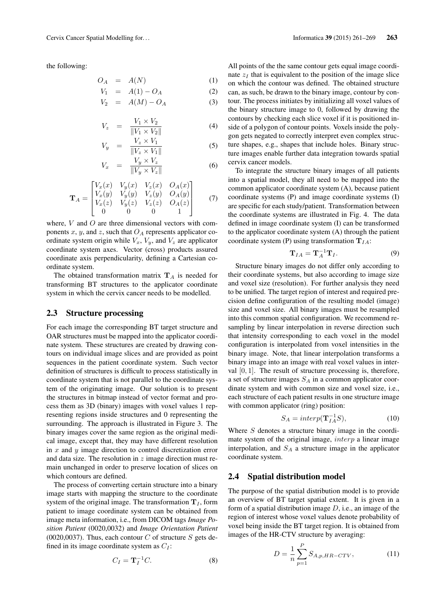the following:

$$
O_A = A(N) \tag{1}
$$

$$
V_1 = A(1) - O_A \tag{2}
$$

$$
V_2 = A(M) - O_A \tag{3}
$$

$$
V_z = \frac{V_1 \times V_2}{\|V_1 \times V_2\|} \tag{4}
$$

$$
V_y = \frac{V_z \times V_1}{\|V_z \times V_1\|} \tag{5}
$$

$$
V_x = \frac{V_y \times V_z}{\|V_y \times V_z\|} \tag{6}
$$

$$
\mathbf{T}_A = \begin{bmatrix} V_x(x) & V_y(x) & V_z(x) & O_A(x) \\ V_x(y) & V_y(y) & V_z(y) & O_A(y) \\ V_x(z) & V_y(z) & V_z(z) & O_A(z) \\ 0 & 0 & 0 & 1 \end{bmatrix}
$$
(7)

where,  $V$  and  $O$  are three dimensional vectors with components x, y, and z, such that  $O<sub>A</sub>$  represents applicator coordinate system origin while  $V_x$ ,  $V_y$ , and  $V_z$  are applicator coordinate system axes. Vector (cross) products assured coordinate axis perpendicularity, defining a Cartesian coordinate system.

The obtained transformation matrix  $T_A$  is needed for transforming BT structures to the applicator coordinate system in which the cervix cancer needs to be modelled.

#### 2.3 Structure processing

For each image the corresponding BT target structure and OAR structures must be mapped into the applicator coordinate system. These structures are created by drawing contours on individual image slices and are provided as point sequences in the patient coordinate system. Such vector definition of structures is difficult to process statistically in coordinate system that is not parallel to the coordinate system of the originating image. Our solution is to present the structures in bitmap instead of vector format and process them as 3D (binary) images with voxel values 1 representing regions inside structures and 0 representing the surrounding. The approach is illustrated in Figure 3. The binary images cover the same region as the original medical image, except that, they may have different resolution in  $x$  and  $y$  image direction to control discretization error and data size. The resolution in  $z$  image direction must remain unchanged in order to preserve location of slices on which contours are defined.

The process of converting certain structure into a binary image starts with mapping the structure to the coordinate system of the original image. The transformation  $T<sub>I</sub>$ , form patient to image coordinate system can be obtained from image meta information, i.e., from DICOM tags *Image Position Patient* (0020,0032) and *Image Orientation Patient* (0020,0037). Thus, each contour C of structure S gets defined in its image coordinate system as  $C_I$ :

$$
C_I = \mathbf{T}_I^{-1} C. \tag{8}
$$

All points of the the same contour gets equal image coordinate  $z_I$  that is equivalent to the position of the image slice on which the contour was defined. The obtained structure can, as such, be drawn to the binary image, contour by contour. The process initiates by initializing all voxel values of the binary structure image to 0, followed by drawing the contours by checking each slice voxel if it is positioned inside of a polygon of contour points. Voxels inside the polygon gets negated to correctly interpret even complex structure shapes, e.g., shapes that include holes. Binary structure images enable further data integration towards spatial cervix cancer models.

To integrate the structure binary images of all patients into a spatial model, they all need to be mapped into the common applicator coordinate system (A), because patient coordinate systems (P) and image coordinate systems (I) are specific for each study/patient. Transformation between the coordinate systems are illustrated in Fig. 4. The data defined in image coordinate system (I) can be transformed to the applicator coordinate system (A) through the patient coordinate system (P) using transformation  $T_{IA}$ :

$$
\mathbf{T}_{IA} = \mathbf{T}_A^{-1} \mathbf{T}_I. \tag{9}
$$

Structure binary images do not differ only according to their coordinate systems, but also according to image size and voxel size (resolution). For further analysis they need to be unified. The target region of interest and required precision define configuration of the resulting model (image) size and voxel size. All binary images must be resampled into this common spatial configuration. We recommend resampling by linear interpolation in reverse direction such that intensity corresponding to each voxel in the model configuration is interpolated from voxel intensities in the binary image. Note, that linear interpolation transforms a binary image into an image with real voxel values in interval  $[0, 1]$ . The result of structure processing is, therefore, a set of structure images  $S_A$  in a common applicator coordinate system and with common size and voxel size, i.e., each structure of each patient results in one structure image with common applicator (ring) position:

$$
S_A = interp(\mathbf{T}_{IA}^{-1}S),\tag{10}
$$

Where S denotes a structure binary image in the coordimate system of the original image, interp a linear image interpolation, and  $S_A$  a structure image in the applicator coordinate system.

#### 2.4 Spatial distribution model

The purpose of the spatial distribution model is to provide an overview of BT target spatial extent. It is given in a form of a spatial distribution image  $D$ , i.e., an image of the region of interest whose voxel values denote probability of voxel being inside the BT target region. It is obtained from images of the HR-CTV structure by averaging:

$$
D = \frac{1}{n} \sum_{p=1}^{P} S_{A,p,HR-CTV},
$$
 (11)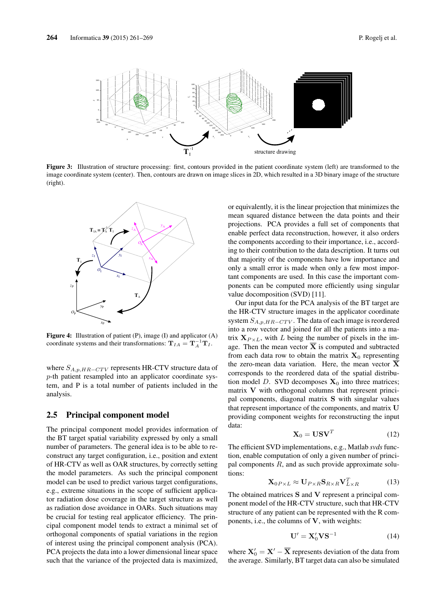

Figure 3: Illustration of structure processing: first, contours provided in the patient coordinate system (left) are transformed to the image coordinate system (center). Then, contours are drawn on image slices in 2D, which resulted in a 3D binary image of the structure (right).



Figure 4: Illustration of patient (P), image (I) and applicator (A) coordinate systems and their transformations:  $\mathbf{T}_{IA} = \mathbf{T}_{A}^{-1} \mathbf{T}_{I}$ .

where  $S_{A,p,HR-CTV}$  represents HR-CTV structure data of p-th patient resampled into an applicator coordinate system, and P is a total number of patients included in the analysis.

#### 2.5 Principal component model

The principal component model provides information of the BT target spatial variability expressed by only a small number of parameters. The general idea is to be able to reconstruct any target configuration, i.e., position and extent of HR-CTV as well as OAR structures, by correctly setting the model parameters. As such the principal component model can be used to predict various target configurations, e.g., extreme situations in the scope of sufficient applicator radiation dose coverage in the target structure as well as radiation dose avoidance in OARs. Such situations may be crucial for testing real applicator efficiency. The principal component model tends to extract a minimal set of orthogonal components of spatial variations in the region of interest using the principal component analysis (PCA). PCA projects the data into a lower dimensional linear space such that the variance of the projected data is maximized,

or equivalently, it is the linear projection that minimizes the mean squared distance between the data points and their projections. PCA provides a full set of components that enable perfect data reconstruction, however, it also orders the components according to their importance, i.e., according to their contribution to the data description. It turns out that majority of the components have low importance and only a small error is made when only a few most important components are used. In this case the important components can be computed more efficiently using singular value docomposition (SVD) [11].

Our input data for the PCA analysis of the BT target are the HR-CTV structure images in the applicator coordinate system  $S_{A,p,HR-CTV}$ . The data of each image is reordered into a row vector and joined for all the patients into a matrix  $X_{P \times L}$ , with L being the number of pixels in the image. Then the mean vector  $X$  is computed and subtracted from each data row to obtain the matrix  $X_0$  representing the zero-mean data variation. Here, the mean vector  $\overline{X}$ corresponds to the reordered data of the spatial distribution model D. SVD decomposes  $X_0$  into three matrices; matrix V with orthogonal columns that represent principal components, diagonal matrix S with singular values that represent importance of the components, and matrix U providing component weights for reconstructing the input data:

$$
\mathbf{X}_0 = \mathbf{U}\mathbf{S}\mathbf{V}^T \tag{12}
$$

The efficient SVD implementations, e.g., Matlab *svds* function, enable computation of only a given number of principal components  $R$ , and as such provide approximate solutions:

$$
\mathbf{X}_{0P\times L} \approx \mathbf{U}_{P\times R} \mathbf{S}_{R\times R} \mathbf{V}_{L\times R}^T
$$
 (13)

The obtained matrices S and V represent a principal component model of the HR-CTV structure, such that HR-CTV structure of any patient can be represented with the R components, i.e., the columns of  $V$ , with weights:

$$
\mathbf{U}' = \mathbf{X}'_0 \mathbf{V} \mathbf{S}^{-1} \tag{14}
$$

where  $X'_0 = X' - \overline{X}$  represents deviation of the data from the average. Similarly, BT target data can also be simulated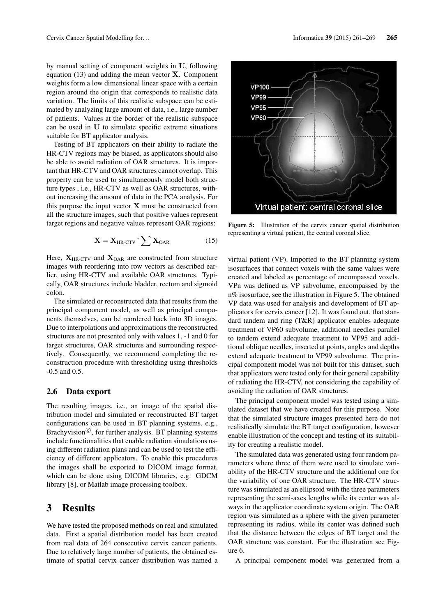by manual setting of component weights in U, following equation (13) and adding the mean vector  $\overline{X}$ . Component weights form a low dimensional linear space with a certain region around the origin that corresponds to realistic data variation. The limits of this realistic subspace can be estimated by analyzing large amount of data, i.e., large number of patients. Values at the border of the realistic subspace can be used in U to simulate specific extreme situations suitable for BT applicator analysis.

Testing of BT applicators on their ability to radiate the HR-CTV regions may be biased, as applicators should also be able to avoid radiation of OAR structures. It is important that HR-CTV and OAR structures cannot overlap. This property can be used to simultaneously model both structure types , i.e., HR-CTV as well as OAR structures, without increasing the amount of data in the PCA analysis. For this purpose the input vector  $X$  must be constructed from all the structure images, such that positive values represent target regions and negative values represent OAR regions:

$$
\mathbf{X} = \mathbf{X}_{HR\text{-CTV}} \check{\ } \sum \mathbf{X}_{OAR} \tag{15}
$$

Here,  $X_{HR-CTV}$  and  $X_{OAR}$  are constructed from structure images with reordering into row vectors as described earlier, using HR-CTV and available OAR structures. Typically, OAR structures include bladder, rectum and sigmoid colon.

The simulated or reconstructed data that results from the principal component model, as well as principal components themselves, can be reordered back into 3D images. Due to interpolations and approximations the reconstructed structures are not presented only with values 1, -1 and 0 for target structures, OAR structures and surrounding respectively. Consequently, we recommend completing the reconstruction procedure with thresholding using thresholds -0.5 and 0.5.

#### 2.6 Data export

The resulting images, i.e., an image of the spatial distribution model and simulated or reconstructed BT target configurations can be used in BT planning systems, e.g., Brachyvision<sup>©</sup>, for further analysis. BT planning systems include functionalities that enable radiation simulations using different radiation plans and can be used to test the efficiency of different applicators. To enable this procedures the images shall be exported to DICOM image format, which can be done using DICOM libraries, e.g. GDCM library [8], or Matlab image processing toolbox.

#### 3 Results

We have tested the proposed methods on real and simulated data. First a spatial distribution model has been created from real data of 264 consecutive cervix cancer patients. Due to relatively large number of patients, the obtained estimate of spatial cervix cancer distribution was named a



Figure 5: Illustration of the cervix cancer spatial distribution representing a virtual patient, the central coronal slice.

virtual patient (VP). Imported to the BT planning system isosurfaces that connect voxels with the same values were created and labeled as percentage of encompassed voxels. VPn was defined as VP subvolume, encompassed by the n% isosurface, see the illustration in Figure 5. The obtained VP data was used for analysis and development of BT applicators for cervix cancer [12]. It was found out, that standard tandem and ring (T&R) applicator enables adequate treatment of VP60 subvolume, additional needles parallel to tandem extend adequate treatment to VP95 and additional oblique needles, inserted at points, angles and depths extend adequate treatment to VP99 subvolume. The principal component model was not built for this dataset, such that applicators were tested only for their general capability of radiating the HR-CTV, not considering the capability of avoiding the radiation of OAR structures.

The principal component model was tested using a simulated dataset that we have created for this purpose. Note that the simulated structure images presented here do not realistically simulate the BT target configuration, however enable illustration of the concept and testing of its suitability for creating a realistic model.

The simulated data was generated using four random parameters where three of them were used to simulate variability of the HR-CTV structure and the additional one for the variability of one OAR structure. The HR-CTV structure was simulated as an ellipsoid with the three parameters representing the semi-axes lengths while its center was always in the applicator coordinate system origin. The OAR region was simulated as a sphere with the given parameter representing its radius, while its center was defined such that the distance between the edges of BT target and the OAR structure was constant. For the illustration see Figure 6.

A principal component model was generated from a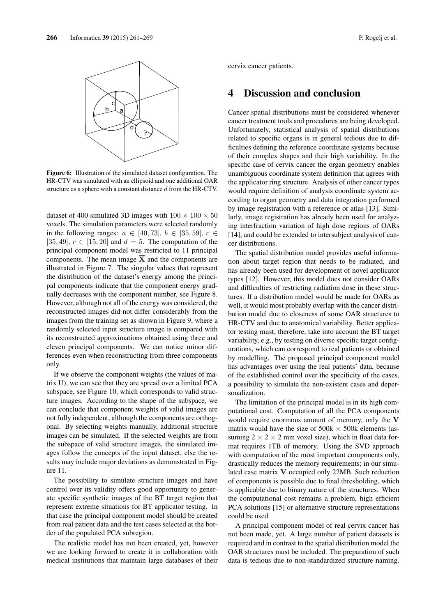

Figure 6: Illustration of the simulated dataset configuration. The HR-CTV was simulated with an ellipsoid and one additional OAR structure as a sphere with a constant distance d from the HR-CTV.

dataset of 400 simulated 3D images with  $100 \times 100 \times 50$ voxels. The simulation parameters were selected randomly in the following ranges:  $a \in [40, 73]$ ,  $b \in [35, 59]$ ,  $c \in$ [35, 49],  $r \in [15, 20]$  and  $d = 5$ . The computation of the principal component model was restricted to 11 principal components. The mean image  $\overline{X}$  and the components are illustrated in Figure 7. The singular values that represent the distribution of the dataset's energy among the principal components indicate that the component energy gradually decreases with the component number, see Figure 8. However, although not all of the energy was considered, the reconstructed images did not differ considerably from the images from the training set as shown in Figure 9, where a randomly selected input structure image is compared with its reconstructed approximations obtained using three and eleven principal components. We can notice minor differences even when reconstructing from three components only.

If we observe the component weights (the values of matrix U), we can see that they are spread over a limited PCA subspace, see Figure 10, which corresponds to valid structure images. According to the shape of the subspace, we can conclude that component weights of valid images are not fully independent, although the components are orthogonal. By selecting weights manually, additional structure images can be simulated. If the selected weights are from the subspace of valid structure images, the simulated images follow the concepts of the input dataset, else the results may include major deviations as demonstrated in Figure 11.

The possibility to simulate structure images and have control over its validity offers good opportunity to generate specific synthetic images of the BT target region that represent extreme situations for BT applicator testing. In that case the principal component model should be created from real patient data and the test cases selected at the border of the populated PCA subregion.

The realistic model has not been created, yet, however we are looking forward to create it in collaboration with medical institutions that maintain large databases of their cervix cancer patients.

## 4 Discussion and conclusion

Cancer spatial distributions must be considered whenever cancer treatment tools and procedures are being developed. Unfortunately, statistical analysis of spatial distributions related to specific organs is in general tedious due to difficulties defining the reference coordinate systems because of their complex shapes and their high variability. In the specific case of cervix cancer the organ geometry enables unambiguous coordinate system definition that agrees with the applicator ring structure. Analysis of other cancer types would require definition of analysis coordinate system according to organ geometry and data integration performed by image registration with a reference or atlas [13]. Similarly, image registration has already been used for analyzing interfraction variation of high dose regions of OARs [14], and could be extended to intersubject analysis of cancer distributions.

The spatial distribution model provides useful information about target region that needs to be radiated, and has already been used for development of novel applicator types [12]. However, this model does not consider OARs and difficulties of restricting radiation dose in these structures. If a distribution model would be made for OARs as well, it would most probably overlap with the cancer distribution model due to closeness of some OAR structures to HR-CTV and due to anatomical variability. Better applicator testing must, therefore, take into account the BT target variability, e.g., by testing on diverse specific target configurations, which can correspond to real patients or obtained by modelling. The proposed principal component model has advantages over using the real patients' data, because of the established control over the specificity of the cases, a possibility to simulate the non-existent cases and depersonalization.

The limitation of the principal model is in its high computational cost. Computation of all the PCA components would require enormous amount of memory, only the V matrix would have the size of  $500k \times 500k$  elements (assuming  $2 \times 2 \times 2$  mm voxel size), which in float data format requires 1TB of memory. Using the SVD approach with computation of the most important components only, drastically reduces the memory requirements; in our simulated case matrix V occupied only 22MB. Such reduction of components is possible due to final thresholding, which is applicable due to binary nature of the structures. When the computational cost remains a problem, high efficient PCA solutions [15] or alternative structure representations could be used.

A principal component model of real cervix cancer has not been made, yet. A large number of patient datasets is required and in contrast to the spatial distribution model the OAR structures must be included. The preparation of such data is tedious due to non-standardized structure naming.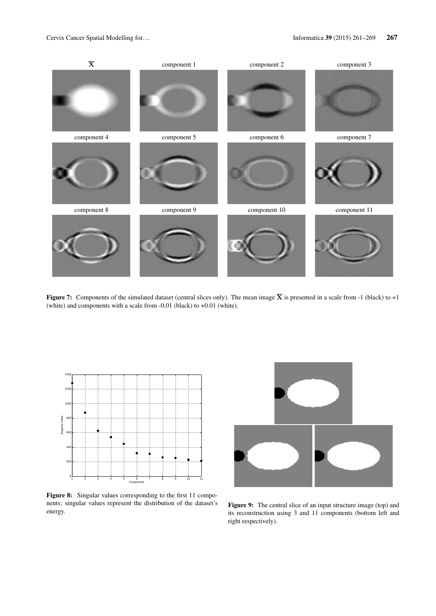

Figure 7: Components of the simulated dataset (central slices only). The mean image  $\overline{X}$  is presented in a scale from -1 (black) to +1 (white) and components with a scale from -0.01 (black) to +0.01 (white).



Figure 8: Singular values corresponding to the first 11 components; singular values represent the distribution of the dataset's energy.



Figure 9: The central slice of an input structure image (top) and its reconstruction using 3 and 11 components (bottom left and right respectively).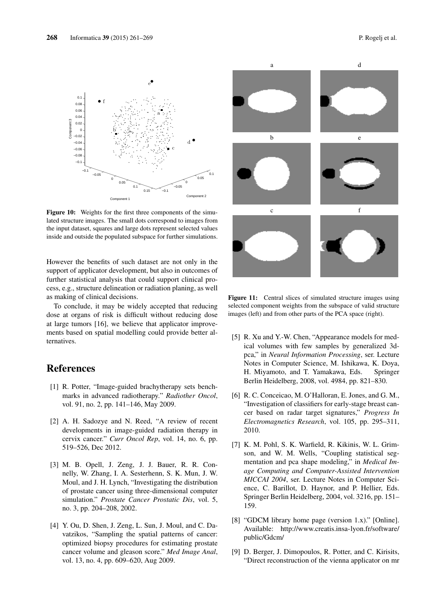



 $\rm{e}^\bullet$ 

Figure 10: Weights for the first three components of the simulated structure images. The small dots correspond to images from the input dataset, squares and large dots represent selected values inside and outside the populated subspace for further simulations.

However the benefits of such dataset are not only in the support of applicator development, but also in outcomes of further statistical analysis that could support clinical process, e.g., structure delineation or radiation planing, as well as making of clinical decisions.

To conclude, it may be widely accepted that reducing dose at organs of risk is difficult without reducing dose at large tumors [16], we believe that applicator improvements based on spatial modelling could provide better alternatives.

## References

- [1] R. Potter, "Image-guided brachytherapy sets benchmarks in advanced radiotherapy." *Radiother Oncol*, vol. 91, no. 2, pp. 141–146, May 2009.
- [2] A. H. Sadozye and N. Reed, "A review of recent developments in image-guided radiation therapy in cervix cancer." *Curr Oncol Rep*, vol. 14, no. 6, pp. 519–526, Dec 2012.
- [3] M. B. Opell, J. Zeng, J. J. Bauer, R. R. Connelly, W. Zhang, I. A. Sesterhenn, S. K. Mun, J. W. Moul, and J. H. Lynch, "Investigating the distribution of prostate cancer using three-dimensional computer simulation." *Prostate Cancer Prostatic Dis*, vol. 5, no. 3, pp. 204–208, 2002.
- [4] Y. Ou, D. Shen, J. Zeng, L. Sun, J. Moul, and C. Davatzikos, "Sampling the spatial patterns of cancer: optimized biopsy procedures for estimating prostate cancer volume and gleason score." *Med Image Anal*, vol. 13, no. 4, pp. 609–620, Aug 2009.



Figure 11: Central slices of simulated structure images using selected component weights from the subspace of valid structure images (left) and from other parts of the PCA space (right).

- [5] R. Xu and Y.-W. Chen, "Appearance models for medical volumes with few samples by generalized 3dpca," in *Neural Information Processing*, ser. Lecture Notes in Computer Science, M. Ishikawa, K. Doya, H. Miyamoto, and T. Yamakawa, Eds. Springer Berlin Heidelberg, 2008, vol. 4984, pp. 821–830.
- [6] R. C. Conceicao, M. O'Halloran, E. Jones, and G. M., "Investigation of classifiers for early-stage breast cancer based on radar target signatures," *Progress In Electromagnetics Research*, vol. 105, pp. 295–311, 2010.
- [7] K. M. Pohl, S. K. Warfield, R. Kikinis, W. L. Grimson, and W. M. Wells, "Coupling statistical segmentation and pca shape modeling," in *Medical Image Computing and Computer-Assisted Intervention MICCAI 2004*, ser. Lecture Notes in Computer Science, C. Barillot, D. Haynor, and P. Hellier, Eds. Springer Berlin Heidelberg, 2004, vol. 3216, pp. 151– 159.
- [8] "GDCM library home page (version 1.x)." [Online]. Available: http://www.creatis.insa-lyon.fr/software/ public/Gdcm/
- [9] D. Berger, J. Dimopoulos, R. Potter, and C. Kirisits, "Direct reconstruction of the vienna applicator on mr